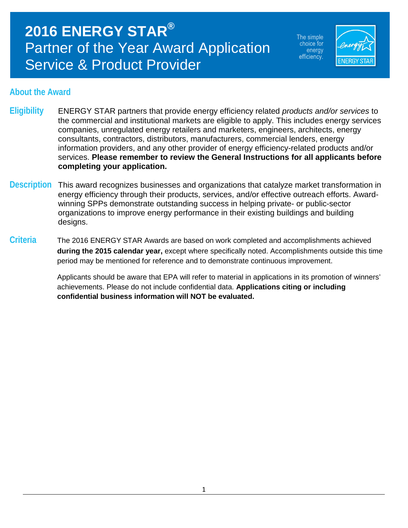The simple choice for energy efficiency.



### **About the Award**

- **Eligibility** ENERGY STAR partners that provide energy efficiency related *products and/or services* to the commercial and institutional markets are eligible to apply. This includes energy services companies, unregulated energy retailers and marketers, engineers, architects, energy consultants, contractors, distributors, manufacturers, commercial lenders, energy information providers, and any other provider of energy efficiency-related products and/or services. **Please remember to review the General Instructions for all applicants before completing your application.**
- **Description** This award recognizes businesses and organizations that catalyze market transformation in energy efficiency through their products, services, and/or effective outreach efforts. Awardwinning SPPs demonstrate outstanding success in helping private- or public-sector organizations to improve energy performance in their existing buildings and building designs.
- **Criteria** The 2016 ENERGY STAR Awards are based on work completed and accomplishments achieved **during the 2015 calendar year,** except where specifically noted. Accomplishments outside this time period may be mentioned for reference and to demonstrate continuous improvement.

Applicants should be aware that EPA will refer to material in applications in its promotion of winners' achievements. Please do not include confidential data. **Applications citing or including confidential business information will NOT be evaluated.**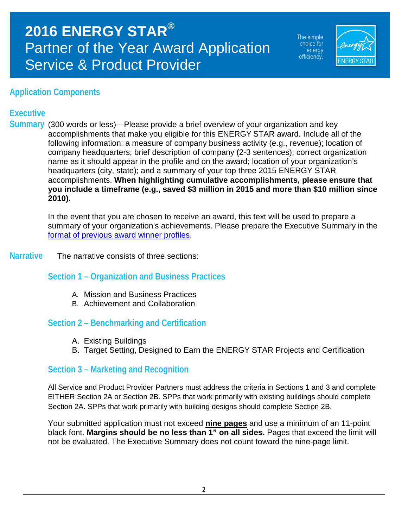The simple choice for energy efficiency.



### **Application Components**

### **Executive**

**Summary** (300 words or less)—Please provide a brief overview of your organization and key accomplishments that make you eligible for this ENERGY STAR award. Include all of the following information: a measure of company business activity (e.g., revenue); location of company headquarters; brief description of company (2-3 sentences); correct organization name as it should appear in the profile and on the award; location of your organization's headquarters (city, state); and a summary of your top three 2015 ENERGY STAR accomplishments. **When highlighting cumulative accomplishments, please ensure that you include a timeframe (e.g., saved \$3 million in 2015 and more than \$10 million since 2010).** 

> In the event that you are chosen to receive an award, this text will be used to prepare a summary of your organization's achievements. Please prepare the Executive Summary in the [format of previous award winner profiles.](http://www.energystar.gov/about/awards/2015_energy_star_award_winners)

### **Narrative** The narrative consists of three sections:

### **Section 1 – Organization and Business Practices**

- A. Mission and Business Practices
- B. Achievement and Collaboration

### **Section 2 – Benchmarking and Certification**

- A. Existing Buildings
- B. Target Setting, Designed to Earn the ENERGY STAR Projects and Certification

### **Section 3 – Marketing and Recognition**

All Service and Product Provider Partners must address the criteria in Sections 1 and 3 and complete EITHER Section 2A or Section 2B. SPPs that work primarily with existing buildings should complete Section 2A. SPPs that work primarily with building designs should complete Section 2B.

Your submitted application must not exceed **nine pages** and use a minimum of an 11-point black font. **Margins should be no less than 1" on all sides.** Pages that exceed the limit will not be evaluated. The Executive Summary does not count toward the nine-page limit.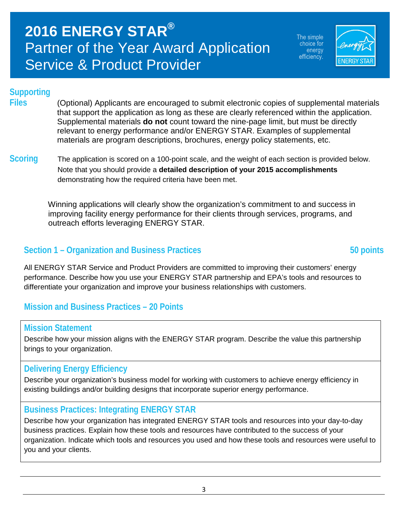The simple choice for energy efficiency.



### **Supporting**

**Files** (Optional) Applicants are encouraged to submit electronic copies of supplemental materials that support the application as long as these are clearly referenced within the application. Supplemental materials **do not** count toward the nine-page limit, but must be directly relevant to energy performance and/or ENERGY STAR. Examples of supplemental materials are program descriptions, brochures, energy policy statements, etc.

**Scoring** The application is scored on a 100-point scale, and the weight of each section is provided below. Note that you should provide a **detailed description of your 2015 accomplishments** demonstrating how the required criteria have been met.

> Winning applications will clearly show the organization's commitment to and success in improving facility energy performance for their clients through services, programs, and outreach efforts leveraging ENERGY STAR.

### **Section 1 – Organization and Business Practices 50 points**

All ENERGY STAR Service and Product Providers are committed to improving their customers' energy performance. Describe how you use your ENERGY STAR partnership and EPA's tools and resources to differentiate your organization and improve your business relationships with customers.

### **Mission and Business Practices – 20 Points**

### **Mission Statement**

Describe how your mission aligns with the ENERGY STAR program. Describe the value this partnership brings to your organization.

### **Delivering Energy Efficiency**

Describe your organization's business model for working with customers to achieve energy efficiency in existing buildings and/or building designs that incorporate superior energy performance.

### **Business Practices: Integrating ENERGY STAR**

Describe how your organization has integrated ENERGY STAR tools and resources into your day-to-day business practices. Explain how these tools and resources have contributed to the success of your organization. Indicate which tools and resources you used and how these tools and resources were useful to you and your clients.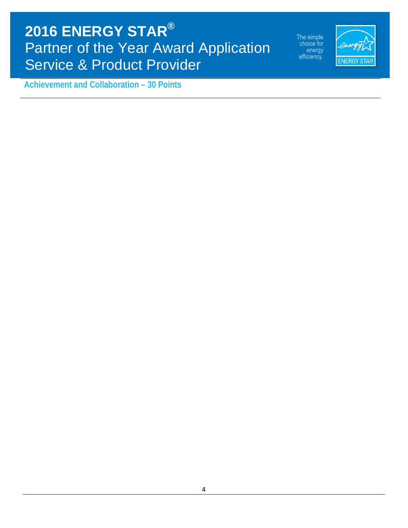The simple<br>choice for energy efficiency.



**Achievement and Collaboration – 30 Points**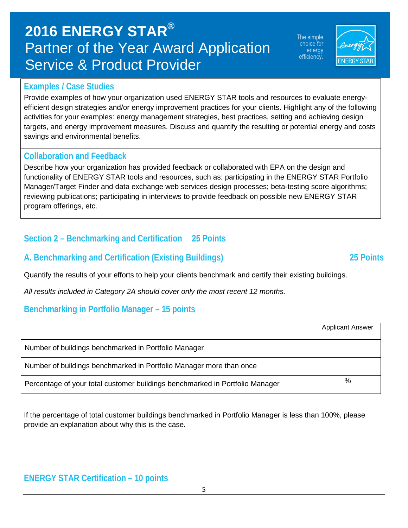## **ENERGY STAR Certification – 10 points**

### 5

| Benchmarking in Portfolio Manager – 15 points                                |                         |
|------------------------------------------------------------------------------|-------------------------|
|                                                                              | <b>Applicant Answer</b> |
| Number of buildings benchmarked in Portfolio Manager                         |                         |
| Number of buildings benchmarked in Portfolio Manager more than once          |                         |
| Percentage of your total customer buildings benchmarked in Portfolio Manager | %                       |

functionality of ENERGY STAR tools and resources, such as: participating in the ENERGY STAR Portfolio Manager/Target Finder and data exchange web services design processes; beta-testing score algorithms; reviewing publications; participating in interviews to provide feedback on possible new ENERGY STAR program offerings, etc.

### **Collaboration and Feedback**

activities for your examples: energy management strategies, best practices, setting and achieving design targets, and energy improvement measures. Discuss and quantify the resulting or potential energy and costs savings and environmental benefits.

Provide examples of how your organization used ENERGY STAR tools and resources to evaluate energyefficient design strategies and/or energy improvement practices for your clients. Highlight any of the following

**Examples / Case Studies** 

Describe how your organization has provided feedback or collaborated with EPA on the design and

### **Section 2 – Benchmarking and Certification 25 Points**

### **A. Benchmarking and Certification (Existing Buildings) 25 Points**

Quantify the results of your efforts to help your clients benchmark and certify their existing buildings.

*All results included in Category 2A should cover only the most recent 12 months.*

### **Benchmarking in Portfolio Manager – 15 points**

| Number of buildings benchmarked in Portfolio Manager                         |   |
|------------------------------------------------------------------------------|---|
| Number of buildings benchmarked in Portfolio Manager more than once          |   |
| Percentage of your total customer buildings benchmarked in Portfolio Manager | % |

If the percentage of total customer buildings benchmarked in Portfolio Manager is less than 100%, please provide an explanation about why this is the case.

# **2016 ENERGY STAR®** Partner of the Year Award Application Service & Product Provider

The simple choice for energy efficiency.

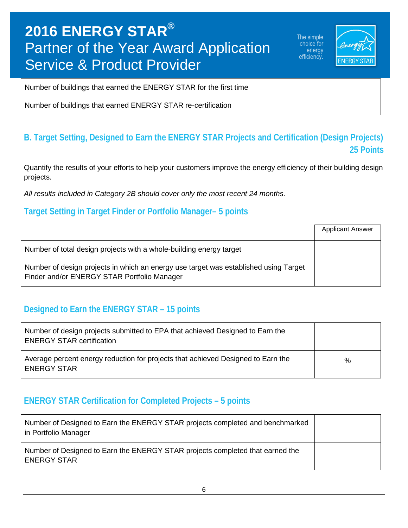The simple choice for energy efficiency.



| Number of buildings that earned the ENERGY STAR for the first time |  |
|--------------------------------------------------------------------|--|
| Number of buildings that earned ENERGY STAR re-certification       |  |

### **B. Target Setting, Designed to Earn the ENERGY STAR Projects and Certification (Design Projects) 25 Points**

Quantify the results of your efforts to help your customers improve the energy efficiency of their building design projects.

*All results included in Category 2B should cover only the most recent 24 months.*

### **Target Setting in Target Finder or Portfolio Manager– 5 points**

|                                                                                                                                     | <b>Applicant Answer</b> |
|-------------------------------------------------------------------------------------------------------------------------------------|-------------------------|
| Number of total design projects with a whole-building energy target                                                                 |                         |
| Number of design projects in which an energy use target was established using Target<br>Finder and/or ENERGY STAR Portfolio Manager |                         |

### **Designed to Earn the ENERGY STAR – 15 points**

| Number of design projects submitted to EPA that achieved Designed to Earn the<br><b>ENERGY STAR certification</b> |   |
|-------------------------------------------------------------------------------------------------------------------|---|
| Average percent energy reduction for projects that achieved Designed to Earn the<br><b>ENERGY STAR</b>            | % |

### **ENERGY STAR Certification for Completed Projects – 5 points**

| Number of Designed to Earn the ENERGY STAR projects completed and benchmarked<br>in Portfolio Manager |  |
|-------------------------------------------------------------------------------------------------------|--|
| Number of Designed to Earn the ENERGY STAR projects completed that earned the<br><b>ENERGY STAR</b>   |  |